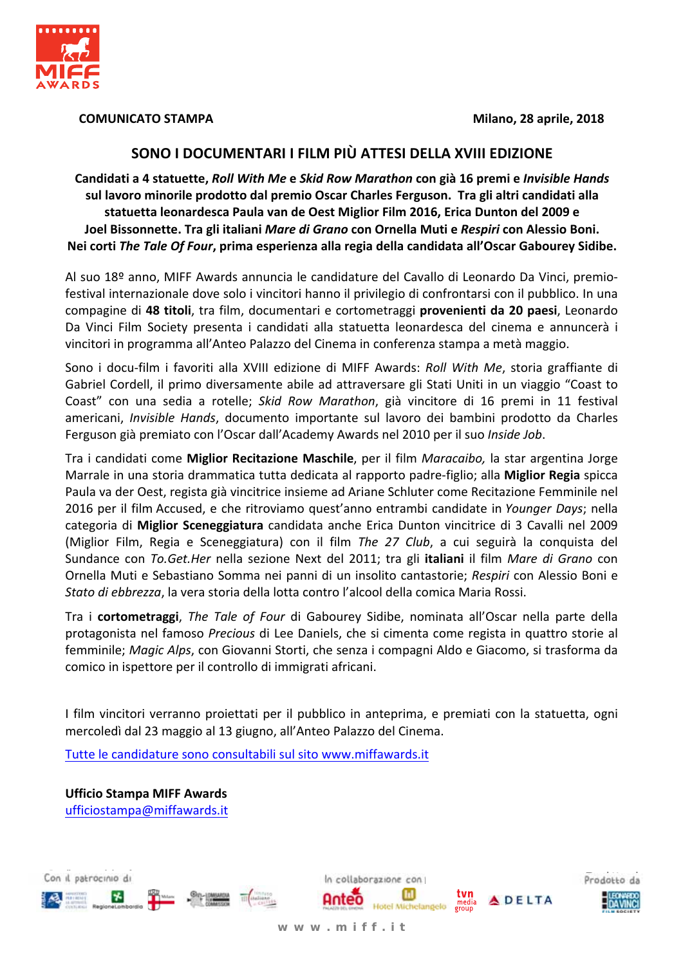

**COMUNICATO STAMPA** 

# SONO I DOCUMENTARI I FILM PIÙ ATTESI DELLA XVIII EDIZIONE

Candidati a 4 statuette, Roll With Me e Skid Row Marathon con già 16 premi e Invisible Hands sul lavoro minorile prodotto dal premio Oscar Charles Ferguson. Tra gli altri candidati alla statuetta leonardesca Paula van de Oest Miglior Film 2016. Erica Dunton del 2009 e Joel Bissonnette. Tra gli italiani Mare di Grano con Ornella Muti e Respiri con Alessio Boni. Nei corti The Tale Of Four, prima esperienza alla regia della candidata all'Oscar Gabourey Sidibe.

Al suo 18º anno, MIFF Awards annuncia le candidature del Cavallo di Leonardo Da Vinci, premiofestival internazionale dove solo i vincitori hanno il privilegio di confrontarsi con il pubblico. In una compagine di 48 titoli, tra film, documentari e cortometraggi provenienti da 20 paesi, Leonardo Da Vinci Film Society presenta i candidati alla statuetta leonardesca del cinema e annuncerà i vincitori in programma all'Anteo Palazzo del Cinema in conferenza stampa a metà maggio.

Sono i docu-film i favoriti alla XVIII edizione di MIFF Awards: Roll With Me, storia graffiante di Gabriel Cordell, il primo diversamente abile ad attraversare gli Stati Uniti in un viaggio "Coast to Coast" con una sedia a rotelle; Skid Row Marathon, già vincitore di 16 premi in 11 festival americani, *Invisible Hands*, documento importante sul lavoro dei bambini prodotto da Charles Ferguson già premiato con l'Oscar dall'Academy Awards nel 2010 per il suo Inside Job.

Tra i candidati come **Miglior Recitazione Maschile**, per il film *Maracaibo*, la star argentina Jorge Marrale in una storia drammatica tutta dedicata al rapporto padre-figlio; alla Miglior Regia spicca Paula va der Oest, regista già vincitrice insieme ad Ariane Schluter come Recitazione Femminile nel 2016 per il film Accused, e che ritroviamo quest'anno entrambi candidate in Younger Days; nella categoria di Miglior Sceneggiatura candidata anche Erica Dunton vincitrice di 3 Cavalli nel 2009 (Miglior Film, Regia e Sceneggiatura) con il film The 27 Club, a cui seguirà la conquista del Sundance con To. Get. Her nella sezione Next del 2011; tra gli italiani il film Mare di Grano con Ornella Muti e Sebastiano Somma nei panni di un insolito cantastorie; Respiri con Alessio Boni e Stato di ebbrezza, la vera storia della lotta contro l'alcool della comica Maria Rossi.

Tra i cortometraggi, The Tale of Four di Gabourey Sidibe, nominata all'Oscar nella parte della protagonista nel famoso Precious di Lee Daniels, che si cimenta come regista in quattro storie al femminile; Magic Alps, con Giovanni Storti, che senza i compagni Aldo e Giacomo, si trasforma da comico in ispettore per il controllo di immigrati africani.

I film vincitori verranno proiettati per il pubblico in anteprima, e premiati con la statuetta, ogni mercoledì dal 23 maggio al 13 giugno, all'Anteo Palazzo del Cinema.

Tutte le candidature sono consultabili sul sito www.miffawards.it

**Ufficio Stampa MIFF Awards** ufficiostampa@miffawards.it





tvn

**ADELTA** 



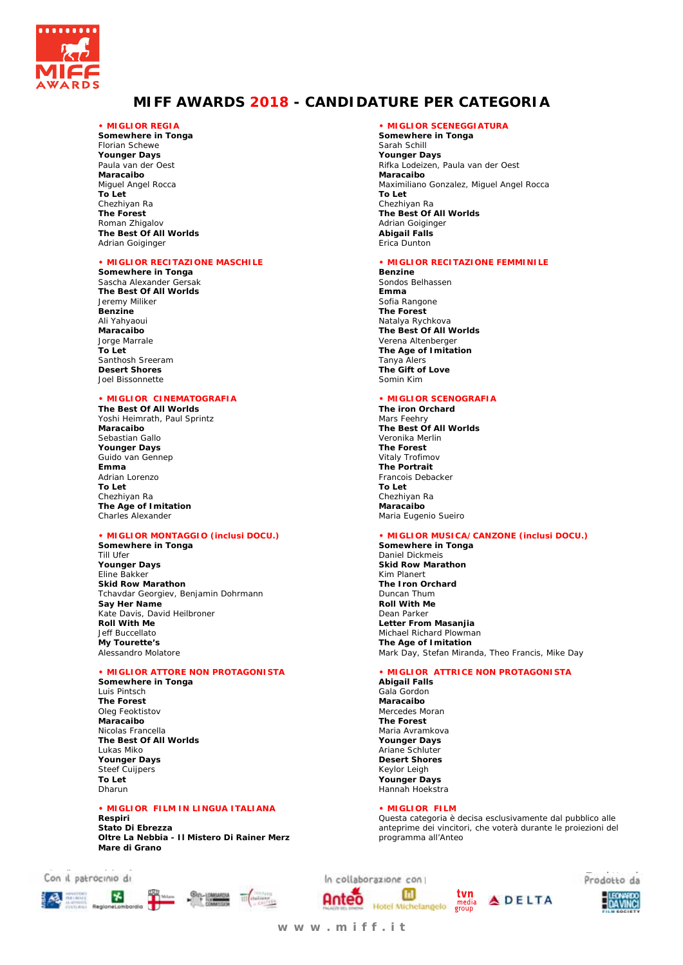

# **MIFF AWARDS 2018 - CANDIDATURE PER CATEGORIA**

#### **• MIGLIOR REGIA**

**Somewhere in Tonga**  Florian Schewe **Younger Days**  Paula van der Oest **Maracaibo**  Miguel Angel Rocca **To Let**  Chezhiyan Ra **The Forest**  Roman Zhigalov **The Best Of All Worlds**  Adrian Goiginger

# **• MIGLIOR RECITAZIONE MASCHILE**

**Somewhere in Tonga**  Sascha Alexander Gersak **The Best Of All Worlds**  Jeremy Miliker **Benzine**  Ali Yahyaoui **Maracaibo**  Jorge Marrale **To Let**  Santhosh Sreeram **Desert Shores**  Joel Bissonnette

# **• MIGLIOR CINEMATOGRAFIA**

**The Best Of All Worlds**  Yoshi Heimrath, Paul Sprintz **Maracaibo**  Sebastian Gallo **Younger Days**  Guido van Gennep **Emma** Adrian Lorenzo **To Let**  Chezhiyan Ra **The Age of Imitation**  Charles Alexander

## **• MIGLIOR MONTAGGIO (inclusi DOCU.)**

**Somewhere in Tonga** Till Ufer **Younger Days**  Eline Bakker **Skid Row Marathon**  Tchavdar Georgiev, Benjamin Dohrmann **Say Her Name**  Kate Davis, David Heilbroner **Roll With Me**  Jeff Buccellato **My Tourette's**  Alessandro Molatore

## **• MIGLIOR ATTORE NON PROTAGONISTA**

**Somewhere in Tonga**  Luis Pintsch **The Forest**  Oleg Feoktistov **Maracaibo**  Nicolas Francella **The Best Of All Worlds**  Lukas Miko **Younger Days**  Steef Cuijpers **To Let**  Dharun

#### **• MIGLIOR FILM IN LINGUA ITALIANA Respiri**

**Stato Di Ebrezza Oltre La Nebbia - Il Mistero Di Rainer Merz Mare di Grano** 



### **• MIGLIOR SCENEGGIATURA**

**Somewhere in Tonga** Sarah Schill **Younger Days**  Rifka Lodeizen, Paula van der Oest **Maracaibo**  Maximiliano Gonzalez, Miguel Angel Rocca **To Let**  Chezhiyan Ra **The Best Of All Worlds**  Adrian Goiginger **Abigail Falls**  Erica Dunton

### **• MIGLIOR RECITAZIONE FEMMINILE**

**Benzine**  Sondos Belhassen **Emma**  Sofia Rangone **The Forest**  Natalya Rychkova **The Best Of All Worlds**  Verena Altenberger **The Age of Imitation**  Tanya Alers **The Gift of Love**  Somin Kim

### **• MIGLIOR SCENOGRAFIA**

**The iron Orchard**  Mars Feehry **The Best Of All Worlds**  Veronika Merlin **The Forest**  Vitaly Trofimov **The Portrait**  Francois Debacker **To Let**  Chezhiyan Ra **Maracaibo**  Maria Eugenio Sueiro

#### **• MIGLIOR MUSICA/CANZONE (inclusi DOCU.)**

**Somewhere in Tonga**  Daniel Dickmeis **Skid Row Marathon**  Kim Planert **The Iron Orchard**  Duncan Thum **Roll With Me**  Dean Parker **Letter From Masanjia**  Michael Richard Plowman **The Age of Imitation**  Mark Day, Stefan Miranda, Theo Francis, Mike Day

## **• MIGLIOR ATTRICE NON PROTAGONISTA**

**Abigail Falls**  Gala Gordon **Maracaibo**  Mercedes Moran **The Forest**  Maria Avramkova **Younger Days**  Ariane Schluter **Desert Shores**  Keylor Leigh **Younger Days** Hannah Hoekstra

#### **• MIGLIOR FILM**

Questa categoria è decisa esclusivamente dal pubblico alle anteprime dei vincitori, che voterà durante le proiezioni del programma all'Anteo

**ADELTA** 

Con il patrocinio di In collaborazione con Prodotto da





**w w w . m i f f . i t**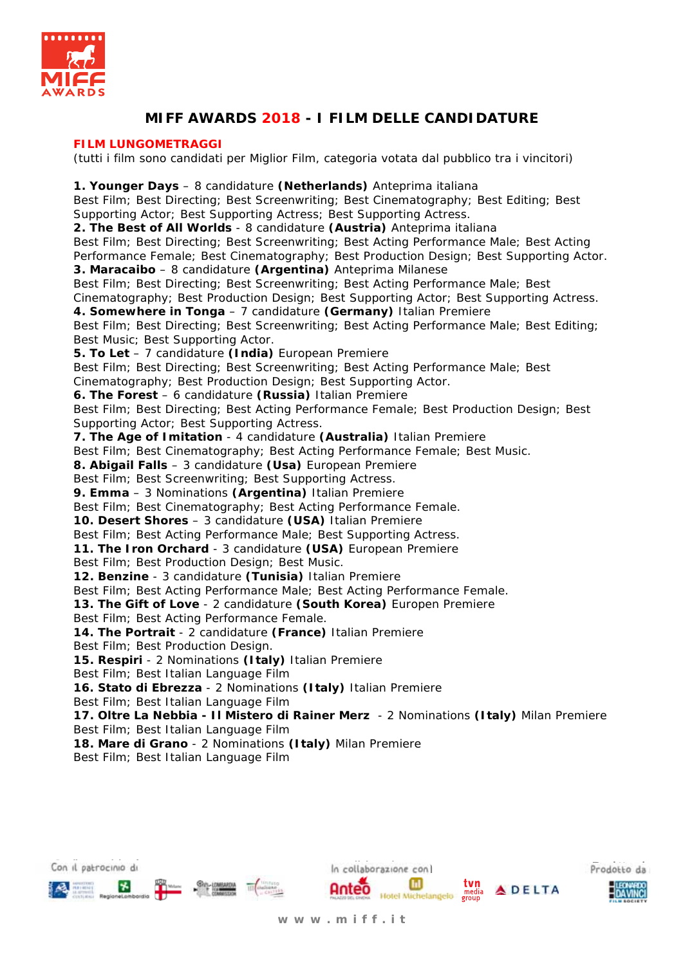

# **MIFF AWARDS 2018 - I FILM DELLE CANDIDATURE**

# **FILM LUNGOMETRAGGI**

(tutti i film sono candidati per Miglior Film, categoria votata dal pubblico tra i vincitori)

**1. Younger Days** – 8 candidature **(Netherlands)** Anteprima italiana Best Film; Best Directing; Best Screenwriting; Best Cinematography; Best Editing; Best Supporting Actor; Best Supporting Actress; Best Supporting Actress. **2. The Best of All Worlds** - 8 candidature **(Austria)** Anteprima italiana Best Film; Best Directing; Best Screenwriting; Best Acting Performance Male; Best Acting Performance Female; Best Cinematography; Best Production Design; Best Supporting Actor. **3. Maracaibo** – 8 candidature **(Argentina)** Anteprima Milanese Best Film; Best Directing; Best Screenwriting; Best Acting Performance Male; Best Cinematography; Best Production Design; Best Supporting Actor; Best Supporting Actress. **4. Somewhere in Tonga** – 7 candidature **(Germany)** Italian Premiere Best Film; Best Directing; Best Screenwriting; Best Acting Performance Male; Best Editing; Best Music; Best Supporting Actor. **5. To Let** – 7 candidature **(India)** European Premiere Best Film; Best Directing; Best Screenwriting; Best Acting Performance Male; Best Cinematography; Best Production Design; Best Supporting Actor. **6. The Forest** – 6 candidature **(Russia)** Italian Premiere Best Film; Best Directing; Best Acting Performance Female; Best Production Design; Best Supporting Actor; Best Supporting Actress. **7. The Age of Imitation** - 4 candidature **(Australia)** Italian Premiere Best Film; Best Cinematography; Best Acting Performance Female; Best Music. **8. Abigail Falls** – 3 candidature **(Usa)** European Premiere Best Film; Best Screenwriting; Best Supporting Actress. **9. Emma** – 3 Nominations **(Argentina)** Italian Premiere Best Film; Best Cinematography; Best Acting Performance Female. **10. Desert Shores** – 3 candidature **(USA)** Italian Premiere Best Film; Best Acting Performance Male; Best Supporting Actress. **11. The Iron Orchard** - 3 candidature **(USA)** European Premiere Best Film; Best Production Design; Best Music. **12. Benzine** - 3 candidature **(Tunisia)** Italian Premiere Best Film; Best Acting Performance Male; Best Acting Performance Female. **13. The Gift of Love** - 2 candidature **(South Korea)** Europen Premiere Best Film; Best Acting Performance Female. **14. The Portrait** - 2 candidature **(France)** Italian Premiere Best Film; Best Production Design. **15. Respiri** - 2 Nominations **(Italy)** Italian Premiere Best Film; Best Italian Language Film **16. Stato di Ebrezza** - 2 Nominations **(Italy)** Italian Premiere Best Film; Best Italian Language Film **17. Oltre La Nebbia - Il Mistero di Rainer Merz** - 2 Nominations **(Italy)** Milan Premiere Best Film; Best Italian Language Film **18. Mare di Grano** - 2 Nominations **(Italy)** Milan Premiere Best Film; Best Italian Language Film





tvn

**ADELTA**